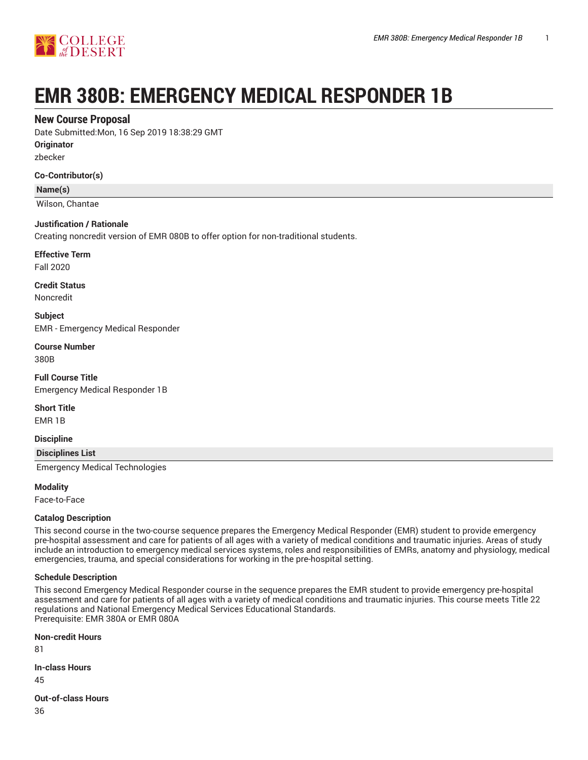

# **EMR 380B: EMERGENCY MEDICAL RESPONDER 1B**

## **New Course Proposal**

Date Submitted:Mon, 16 Sep 2019 18:38:29 GMT

**Originator**

zbecker

#### **Co-Contributor(s)**

**Name(s)**

Wilson, Chantae

#### **Justification / Rationale**

Creating noncredit version of EMR 080B to offer option for non-traditional students.

**Effective Term**

Fall 2020

**Credit Status** Noncredit

**Subject**

EMR - Emergency Medical Responder

**Course Number** 380B

**Full Course Title** Emergency Medical Responder 1B

**Short Title**

EMR 1B

**Discipline**

**Disciplines List**

Emergency Medical Technologies

**Modality**

Face-to-Face

#### **Catalog Description**

This second course in the two-course sequence prepares the Emergency Medical Responder (EMR) student to provide emergency pre-hospital assessment and care for patients of all ages with a variety of medical conditions and traumatic injuries. Areas of study include an introduction to emergency medical services systems, roles and responsibilities of EMRs, anatomy and physiology, medical emergencies, trauma, and special considerations for working in the pre-hospital setting.

#### **Schedule Description**

This second Emergency Medical Responder course in the sequence prepares the EMR student to provide emergency pre-hospital assessment and care for patients of all ages with a variety of medical conditions and traumatic injuries. This course meets Title 22 regulations and National Emergency Medical Services Educational Standards. Prerequisite: EMR 380A or EMR 080A

**Non-credit Hours** 81 **In-class Hours** 45 **Out-of-class Hours**

36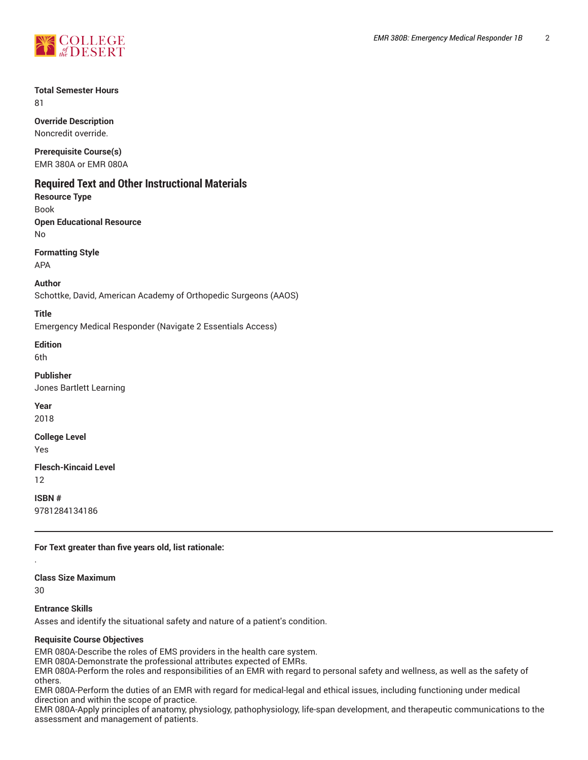

#### **Total Semester Hours** 81

**Override Description** Noncredit override.

**Prerequisite Course(s)** EMR 380A or EMR 080A

# **Required Text and Other Instructional Materials**

**Resource Type**

Book **Open Educational Resource**

No

**Formatting Style**

APA

**Author**

Schottke, David, American Academy of Orthopedic Surgeons (AAOS)

#### **Title**

Emergency Medical Responder (Navigate 2 Essentials Access)

#### **Edition**

6th

### **Publisher**

Jones Bartlett Learning

**Year** 2018

# **College Level**

Yes

#### **Flesch-Kincaid Level** 12

**ISBN #** 9781284134186

**For Text greater than five years old, list rationale:**

#### **Class Size Maximum**

30

.

## **Entrance Skills**

Asses and identify the situational safety and nature of a patient's condition.

## **Requisite Course Objectives**

EMR 080A-Describe the roles of EMS providers in the health care system.

EMR 080A-Demonstrate the professional attributes expected of EMRs.

EMR 080A-Perform the roles and responsibilities of an EMR with regard to personal safety and wellness, as well as the safety of others.

EMR 080A-Perform the duties of an EMR with regard for medical-legal and ethical issues, including functioning under medical direction and within the scope of practice.

EMR 080A-Apply principles of anatomy, physiology, pathophysiology, life-span development, and therapeutic communications to the assessment and management of patients.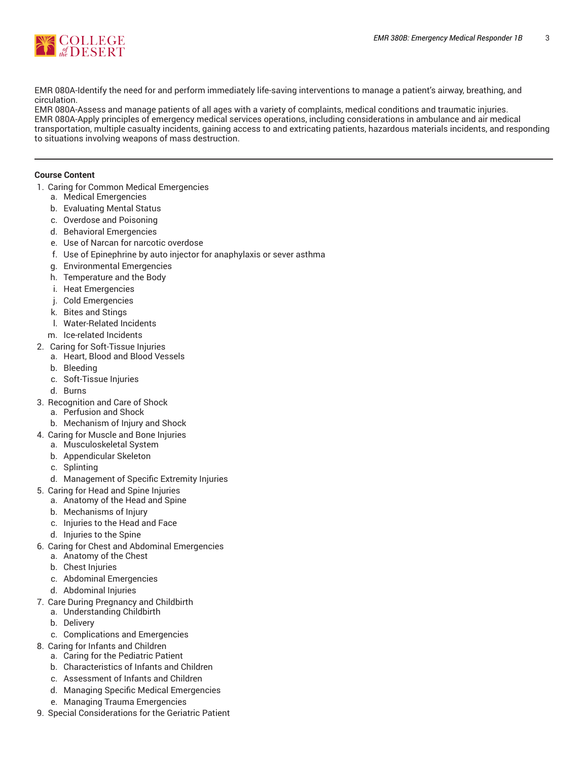

EMR 080A-Identify the need for and perform immediately life-saving interventions to manage a patient's airway, breathing, and circulation.

EMR 080A-Assess and manage patients of all ages with a variety of complaints, medical conditions and traumatic injuries. EMR 080A-Apply principles of emergency medical services operations, including considerations in ambulance and air medical transportation, multiple casualty incidents, gaining access to and extricating patients, hazardous materials incidents, and responding to situations involving weapons of mass destruction.

#### **Course Content**

- 1. Caring for Common Medical Emergencies
	- a. Medical Emergencies
	- b. Evaluating Mental Status
	- c. Overdose and Poisoning
	- d. Behavioral Emergencies
	- e. Use of Narcan for narcotic overdose
	- f. Use of Epinephrine by auto injector for anaphylaxis or sever asthma
	- g. Environmental Emergencies
	- h. Temperature and the Body
	- i. Heat Emergencies
	- j. Cold Emergencies
	- k. Bites and Stings
	- l. Water-Related Incidents
	- m. Ice-related Incidents
- 2. Caring for Soft-Tissue Injuries
- a. Heart, Blood and Blood Vessels
	- b. Bleeding
	- c. Soft-Tissue Injuries
	- d. Burns
- 3. Recognition and Care of Shock
	- a. Perfusion and Shock
	- b. Mechanism of Injury and Shock
- 4. Caring for Muscle and Bone Injuries
	- a. Musculoskeletal System
	- b. Appendicular Skeleton
	- c. Splinting
	- d. Management of Specific Extremity Injuries
- 5. Caring for Head and Spine Injuries
	- a. Anatomy of the Head and Spine
	- b. Mechanisms of Injury
	- c. Injuries to the Head and Face
	- d. Injuries to the Spine
- 6. Caring for Chest and Abdominal Emergencies
	- a. Anatomy of the Chest
	- b. Chest Injuries
	- c. Abdominal Emergencies
	- d. Abdominal Injuries
- 7. Care During Pregnancy and Childbirth
	- a. Understanding Childbirth
	- b. Delivery
	- c. Complications and Emergencies
- 8. Caring for Infants and Children
	- a. Caring for the Pediatric Patient
	- b. Characteristics of Infants and Children
	- c. Assessment of Infants and Children
	- d. Managing Specific Medical Emergencies
	- e. Managing Trauma Emergencies
- 9. Special Considerations for the Geriatric Patient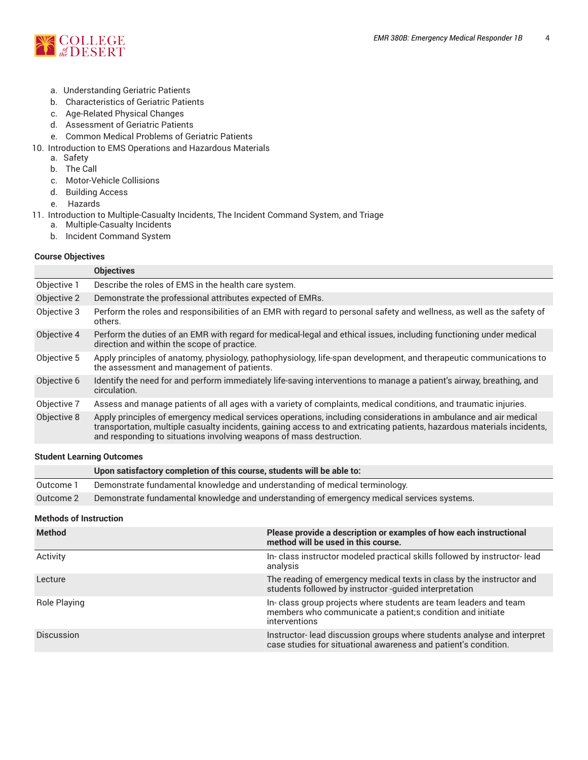

- a. Understanding Geriatric Patients
- b. Characteristics of Geriatric Patients
- c. Age-Related Physical Changes
- d. Assessment of Geriatric Patients
- e. Common Medical Problems of Geriatric Patients
- 10. Introduction to EMS Operations and Hazardous Materials
	- a. Safety
	- b. The Call
	- c. Motor-Vehicle Collisions
	- d. Building Access
	- e. Hazards
- 11. Introduction to Multiple-Casualty Incidents, The Incident Command System, and Triage
	- a. Multiple-Casualty Incidents
	- b. Incident Command System

#### **Course Objectives**

|             | <b>Objectives</b>                                                                                                                                                                                                                                                                                                  |
|-------------|--------------------------------------------------------------------------------------------------------------------------------------------------------------------------------------------------------------------------------------------------------------------------------------------------------------------|
| Objective 1 | Describe the roles of EMS in the health care system.                                                                                                                                                                                                                                                               |
| Objective 2 | Demonstrate the professional attributes expected of EMRs.                                                                                                                                                                                                                                                          |
| Objective 3 | Perform the roles and responsibilities of an EMR with regard to personal safety and wellness, as well as the safety of<br>others.                                                                                                                                                                                  |
| Objective 4 | Perform the duties of an EMR with regard for medical-legal and ethical issues, including functioning under medical<br>direction and within the scope of practice.                                                                                                                                                  |
| Objective 5 | Apply principles of anatomy, physiology, pathophysiology, life-span development, and therapeutic communications to<br>the assessment and management of patients.                                                                                                                                                   |
| Objective 6 | Identify the need for and perform immediately life-saving interventions to manage a patient's airway, breathing, and<br>circulation.                                                                                                                                                                               |
| Objective 7 | Assess and manage patients of all ages with a variety of complaints, medical conditions, and traumatic injuries.                                                                                                                                                                                                   |
| Objective 8 | Apply principles of emergency medical services operations, including considerations in ambulance and air medical<br>transportation, multiple casualty incidents, gaining access to and extricating patients, hazardous materials incidents,<br>and responding to situations involving weapons of mass destruction. |
|             |                                                                                                                                                                                                                                                                                                                    |

#### **Student Learning Outcomes**

|           | Upon satisfactory completion of this course, students will be able to:                     |
|-----------|--------------------------------------------------------------------------------------------|
| Outcome 1 | Demonstrate fundamental knowledge and understanding of medical terminology.                |
| Outcome 2 | Demonstrate fundamental knowledge and understanding of emergency medical services systems. |

#### **Methods of Instruction**

| <b>Method</b>     | Please provide a description or examples of how each instructional<br>method will be used in this course.                                        |
|-------------------|--------------------------------------------------------------------------------------------------------------------------------------------------|
| Activity          | In-class instructor modeled practical skills followed by instructor-lead<br>analysis                                                             |
| Lecture           | The reading of emergency medical texts in class by the instructor and<br>students followed by instructor -guided interpretation                  |
| Role Playing      | In-class group projects where students are team leaders and team<br>members who communicate a patient; s condition and initiate<br>interventions |
| <b>Discussion</b> | Instructor-lead discussion groups where students analyse and interpret<br>case studies for situational awareness and patient's condition.        |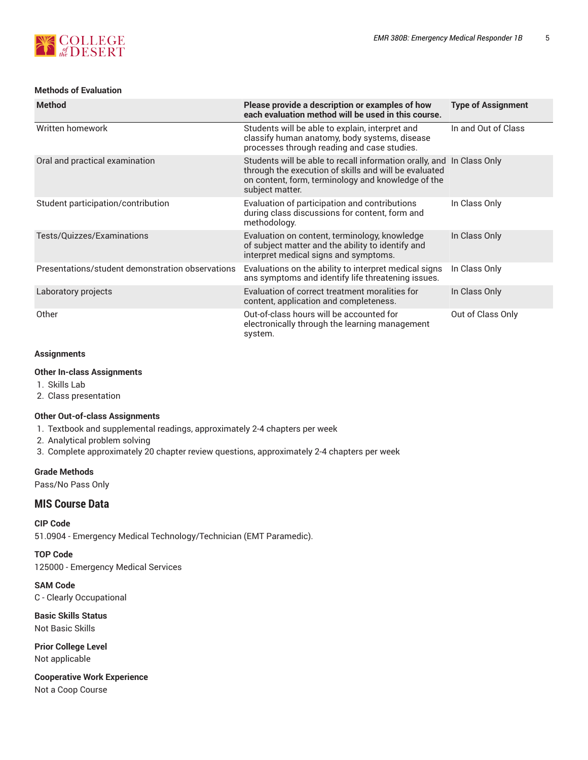# **S**<br> *COLLEGE*<br> *COLLEGE*

# **Methods of Evaluation**

| <b>Method</b>                                    | Please provide a description or examples of how<br>each evaluation method will be used in this course.                                                                                                  | <b>Type of Assignment</b> |
|--------------------------------------------------|---------------------------------------------------------------------------------------------------------------------------------------------------------------------------------------------------------|---------------------------|
| Written homework                                 | Students will be able to explain, interpret and<br>classify human anatomy, body systems, disease<br>processes through reading and case studies.                                                         | In and Out of Class       |
| Oral and practical examination                   | Students will be able to recall information orally, and In Class Only<br>through the execution of skills and will be evaluated<br>on content, form, terminology and knowledge of the<br>subject matter. |                           |
| Student participation/contribution               | Evaluation of participation and contributions<br>during class discussions for content, form and<br>methodology.                                                                                         | In Class Only             |
| Tests/Quizzes/Examinations                       | Evaluation on content, terminology, knowledge<br>of subject matter and the ability to identify and<br>interpret medical signs and symptoms.                                                             | In Class Only             |
| Presentations/student demonstration observations | Evaluations on the ability to interpret medical signs<br>ans symptoms and identify life threatening issues.                                                                                             | In Class Only             |
| Laboratory projects                              | Evaluation of correct treatment moralities for<br>content, application and completeness.                                                                                                                | In Class Only             |
| Other                                            | Out-of-class hours will be accounted for<br>electronically through the learning management<br>system.                                                                                                   | Out of Class Only         |

# **Assignments**

#### **Other In-class Assignments**

- 1. Skills Lab
- 2. Class presentation

## **Other Out-of-class Assignments**

- 1. Textbook and supplemental readings, approximately 2-4 chapters per week
- 2. Analytical problem solving
- 3. Complete approximately 20 chapter review questions, approximately 2-4 chapters per week

## **Grade Methods**

Pass/No Pass Only

# **MIS Course Data**

**CIP Code**

51.0904 - Emergency Medical Technology/Technician (EMT Paramedic).

**TOP Code** 125000 - Emergency Medical Services

**SAM Code** C - Clearly Occupational

**Basic Skills Status** Not Basic Skills

**Prior College Level** Not applicable

**Cooperative Work Experience** Not a Coop Course